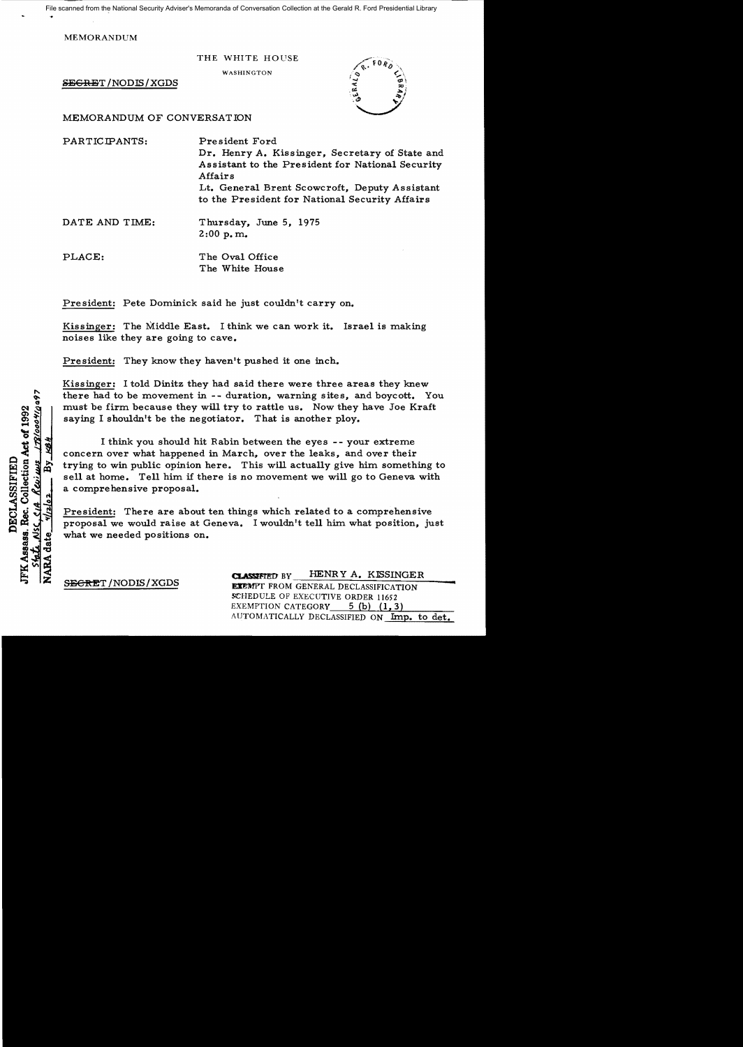File scanned from the National Security Adviser's Memoranda of Conversation Collection at the Gerald R. Ford Presidential Library

MEMORANDUM

THE WHITE HOUSE

WASHINGTON

SEGRET/NODIS/XGDS

MEMORANDUM OF CONVERSATION

PARTICIPANTS: President Ford Dr. Henry A. Kissinger, Secretary of State and Assistant to the President for National Security Affairs Lt. General Brent Scowcroft, Deputy Assistant to the President for National Security Affairs

DATE AND TIME: Thursday, June 5, 1975  $2:00$  p.m.

PLACE: The Oval Office The White House

President: Pete Dominick said he just couldn't carry on.

Kissinger: The Middle East. I think we can work it. Israel is making noises like they are going to cave.

President: They know they haven't pushed it one inch.

Kissinger: I told Dinitz they had said there were three areas they knew there had to be movement in -- duration, warning sites, and boycott. You must be firm because they will try to rattle us. Now they have Joe Kraft saying I shouldn't be the negotiator. That is another ploy.

I think you should hit Rabin between the eyes - - your extreme concern over what happened in March, over the leaks, and over their trying to win public opinion here. This will actually give him something to sell at home. Tell him if there is no movement we will go to Geneva with a comprehensive proposal.

President: There are about ten things which related to a comprehensive proposal we would raise at Geneva. I wouldn't tell him what position, just what we needed positions on.

1781000410097 IFK Assass. Rec. Collection Act of 1992 <u>KBH</u> Reviews DECLASSIFIED  $\overline{\mathcal{L}}$ λš **NARA** date <u>Stati</u>

CLASSIFIED BY HENRY A. KISSINGER SECRET / NODIS / XGDS EXEMPT FROM GENERAL DECLASSIFICATION SCHEDULE OF EXECUTIVE ORDER 11652 EXEMPTION CATEGORY  $5$  (b) (1,3) AUTOMATICALLY DECLASSIFIED ON Imp. to det.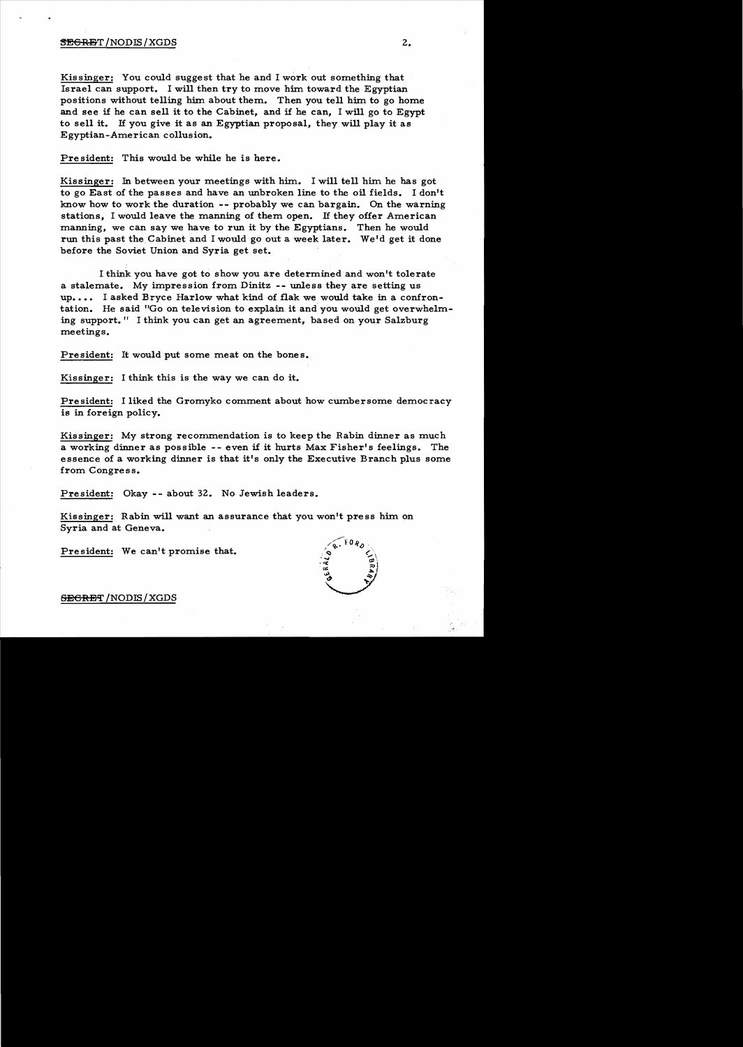## $\overline{\text{SEGRBT}}$  /NODIS/XGDS  $2.$

Kissinger: You could suggest that he and I work out something that Israel can support. I will then try to move him toward the Egyptian positions without telling him about them. Then you tell him to go home and see if he can sell it to the Cabinet, and if he can, I will go to Egypt to sell it. If you give it as an Egyptian proposal, they will play it as Egyptian-American collusion.

Pre sident: This would be while he is here.

Kissinger: In between your meetings with him. I will tell him he has got to go East of the passes and have an unbroken line to the oil fields. I don't know how to work the duration -- probably we can bargain. On the warning stations, I would leave the manning of them open. If they offer American manning, we can say we have to run it by the Egyptians. Then he would run this past the, Cabinet and I would go out a week later. We'd get it done before the Soviet Union and Syria get set.

I think you have got to show you are determined and won't tolerate a stalemate. My impression from Dinitz -- unless they are setting us up.... I asked Bryce Harlow what kind of flak we would take in a confrontation. He said "Go on television to explain. it and you would get overwhelm. ing support." I think you can get an agreement, based on your Salzburg meetings.

President: It would put some meat on the bones.

Kissinger: I think this is the way we can do it.

President: I liked the Gromyko comment about how cumbersome democracy is in foreign policy.

Kissinger: My strong recommendation is to keep the Rabin dinner as much a working dinner as possible -- even if it hurts Max Fisher's feelings. The essence of a working dinner is that it's only the Executive Branch plus some from. Congress.

President: Okay -- about 32. No Jewish leaders.

Kissinger: Rabin will want an assurance that you won't press him. on Syria and at Geneva.

President: We can't promise that.



SECRET / NODIS / XGDS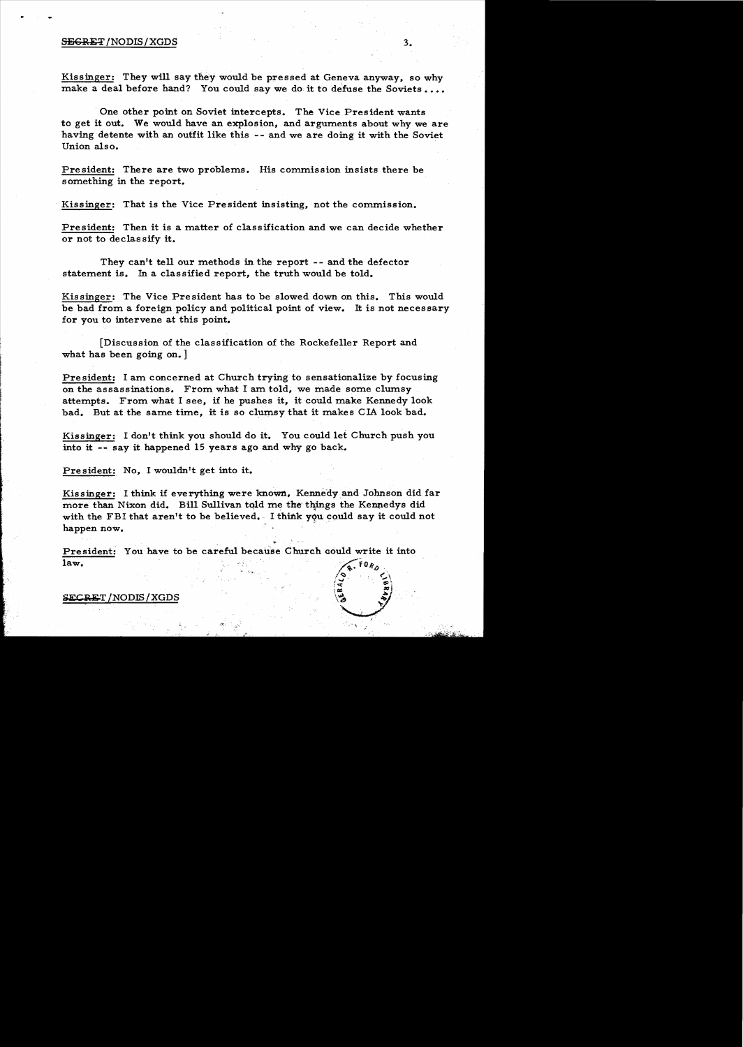## SECRET/NODIS/XGDS 3.

Kissinger: They will say they would be pressed at Geneva anyway, so why make a deal before hand? You could say we do it to defuse the Soviets ....

One other point on Soviet intercepts. The Vice President wants to get it out. We would have an explosion, and arguments about why we are having detente with an outfit like this -- and we are doing it with the Soviet Union also.

President: There are two problems. His commission insists there be something in the report.

Kissinger: That is the Vice President insisting, not the commission.

President: Then it is a matter of classification and we can decide whether or not to declas sify it.

They can't tell our methods in the report -- and the defector statement is. In a classified report, the truth would be told.

Kissinger: The Vice President has to be slowed down on this. This would be bad from a foreign policy and political point of view. It is not necessary for you to intervene at this point.

[Discussion of the classification of the Rockefeller Report and what has been going on.

President: I am concerned at Church trying to sensationalize by focusing on the assassinations. From what I am told, we made some clumsy attempts. From what I see, if he pushes it, it could make Kennedy look bad. But at the same time, it is so clumsy that it makes CIA look bad.

Kissinger: I don't think you should do it. You could let Church push you into it -- say it happened 15 years ago and why go back.

President: No, I wouldn't get into it.

Kissinger: I think if everything were known, Kennedy and Johnson did far more than Nixon did. Bill Sullivan told me the things the Kennedys did with the FBI that aren't to be believed. I think you could say it could not happen now.

President: You have to be careful because Church could write it into law.

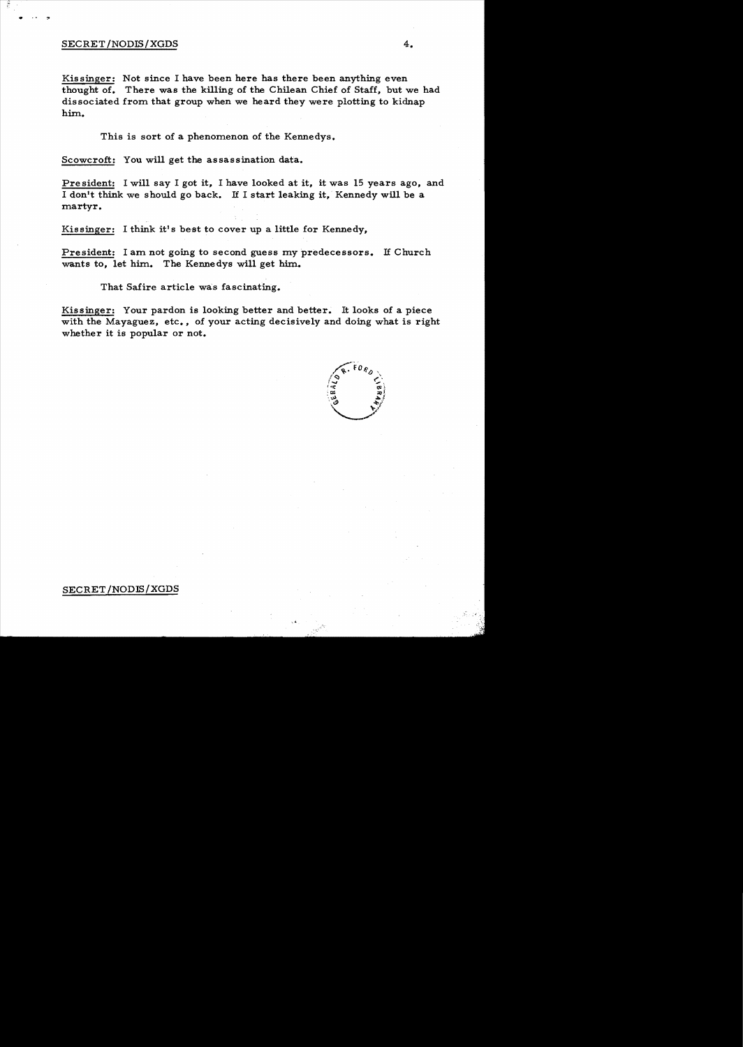## SECRET/NODIS/XGDS 4.

 $\bullet$  .  $\bullet$  .  $\bullet$  .  $\bullet$ 

Kissinger: Not since I have been here has there been anything even thought of. There was the killing of the Chilean Chief of Staff, but we had dissociated from that group when we heard they were plotting to kidnap him.

This is sort of a phenomenon of the Kennedys.

Scowcroft: You will get the assassination data.

Pre sident: I will say I got it, I have looked at it, it was 15 years ago, and I don't think we should go back. If I start leaking it, Kennedy will be a martyr.

Kissinger: I think it's best to cover up a little for Kennedy,

President: I am not going to second guess my predecessors. If Church wants to, let him. The Kennedys will get him.

That Safire article was fascinating.

Kissinger: Your pardon is looking better and better. It looks of a piece with the Mayaguez, etc., of your acting decisively and doing what is right whether it is popular or not.

..



## SECRET /NODIS/XGDS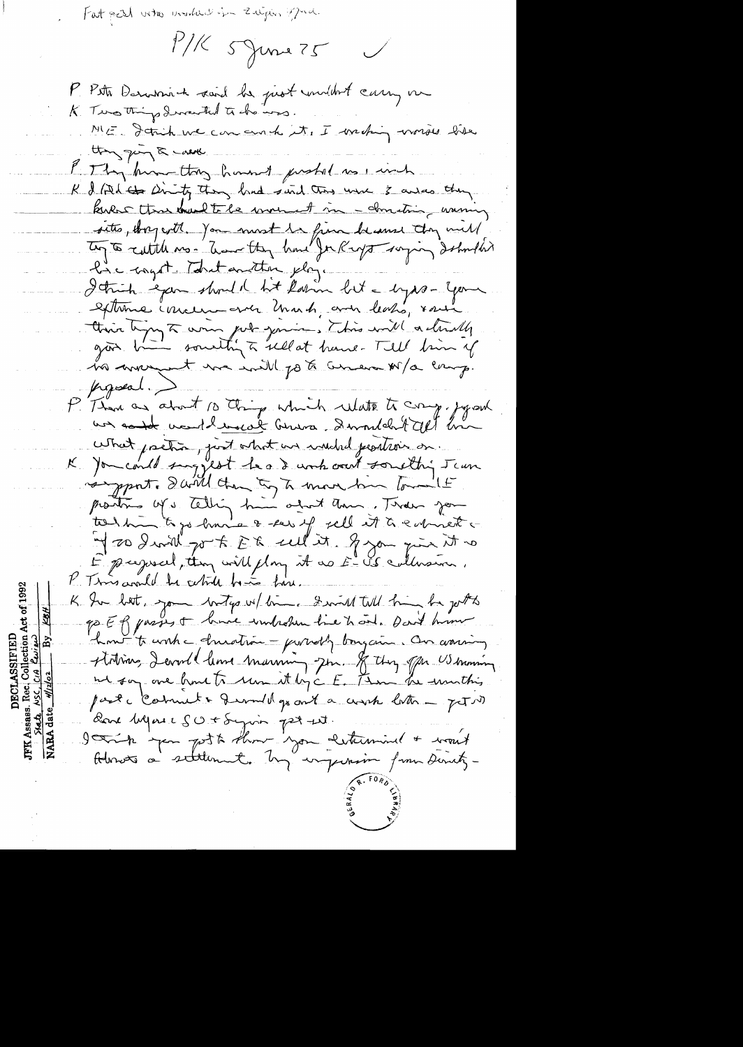Fat pest who and in zugin pra.

 $1116$  5 June 75  $\bigvee$ 

P. Petit Dominich said la prot mildret carry me K. Two things directed to do was. ME Strich we can conchit, I washing worses like thing quing the wants P Thy hum they haven't probat as i wich K & (tel to Dirity they land said this use 3 awas they kular than the le moment in - construi warning sitts, they with you must be fina because they will Ty to cultile no. There they have for Right saying dobutter have caget tout another play. I think eyem should lit labin but a byps- your externe include ever thank, and leaks, some this typy to win got yours, this will actually no averyant ma initel ports comerce sorp. proposal.) P Than as about 10 things which whatse to comp. Joyan un could verthenous buring. Derouldn't all his what pretion, just what we would peatroin on. K ) on could sing jest head work out something Jaun portre d'ailleton to transformation tout Eproport, they will play it as E-US collection. P. Times availed be celebral bina fine. K In but, you betap w/ lime. I will him be get go ER passes to lance windration hier to one. Dan't him how to work a druation - proverly bougain. On assimy stations, Devoill leurs marining pour. If they often US browning ut say one front to un it by c E. Than the unsthis parte commet + frombly out a work later - petit dans hegause SU+ Syria part est Admots a seltement. M'ungurin from Directz-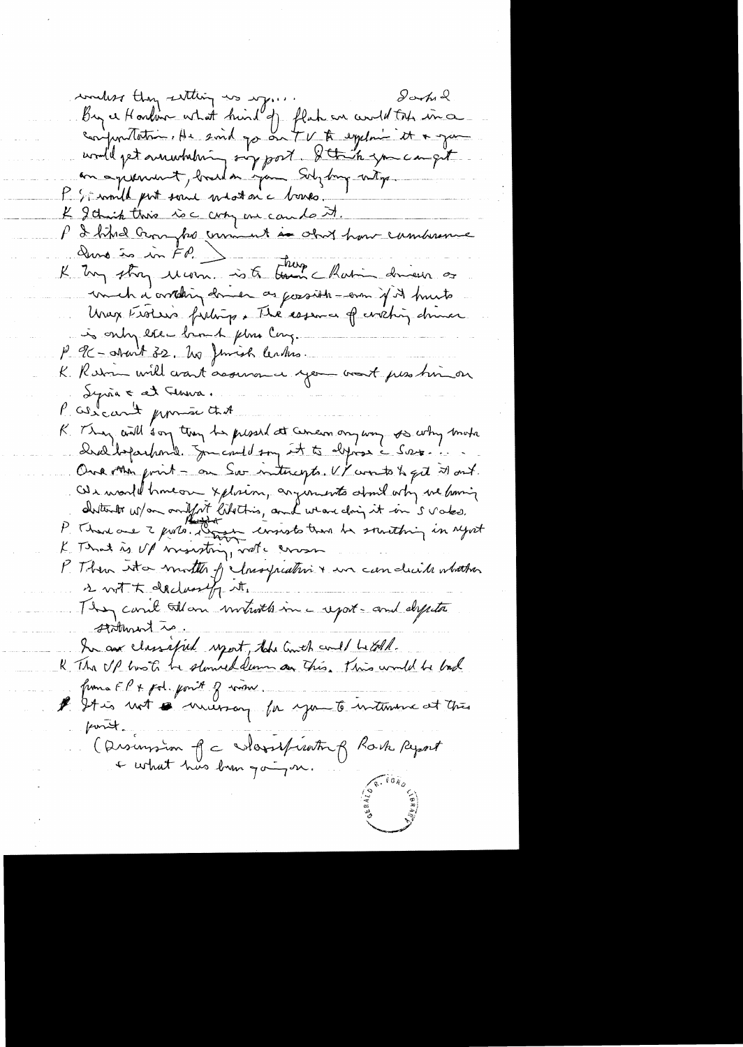concless thoughthing was worked to Sachethe conjuntation, As said go on the to explain it & give unille pet au nobelising sur post. Situate you can quit P. Simila put soul médaie bones & I think this is compose can lost. P I bitre compte comment in obort hour combinence und a constany domen as gossible - error if it hunts Unax Esotion fishing. The essence of careting during is only exec brough flow Cong. P 9C-about 32. No Jemish Centrs. K. Retou will want acousance you want pess times Syria & at Flowa. P. Warcan't promon that K. They will son they be presed at Century way so why make Drelloparhonde Journald son it to dynas & Source One other print - on Soo intercepts. U/ worts to get it out. We would have on xplain, arguments about why we having disturbo w/on anifest libettis, and weareching it in 's vales.<br>P. Than one 2 posts. Donne consists time he southing in upset K That is Up mounting, note cross P. Then into motter of chaspeating & in can dicite whather s with declarably it. They carrie tillam invitatte in a report - and dypta stiturent is. In aux classified uport, the Couch could betall.<br>R The UP tooth be stormed demn an This. This would be look franca EP + pol. point of work. # It is not a numeroy for you to intervine at this pont. (Disimsion Jc Mossificating Rock Report